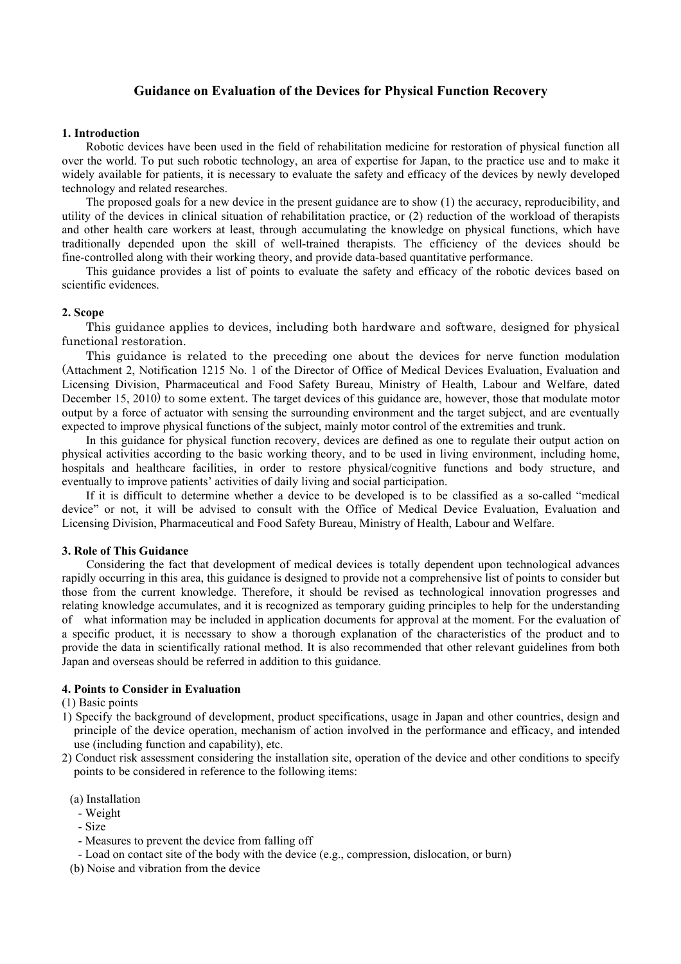# **Guidance on Evaluation of the Devices for Physical Function Recovery**

#### **1. Introduction**

Robotic devices have been used in the field of rehabilitation medicine for restoration of physical function all over the world. To put such robotic technology, an area of expertise for Japan, to the practice use and to make it widely available for patients, it is necessary to evaluate the safety and efficacy of the devices by newly developed technology and related researches.

The proposed goals for a new device in the present guidance are to show (1) the accuracy, reproducibility, and utility of the devices in clinical situation of rehabilitation practice, or (2) reduction of the workload of therapists and other health care workers at least, through accumulating the knowledge on physical functions, which have traditionally depended upon the skill of well-trained therapists. The efficiency of the devices should be fine-controlled along with their working theory, and provide data-based quantitative performance.

This guidance provides a list of points to evaluate the safety and efficacy of the robotic devices based on scientific evidences.

### **2. Scope**

 This guidance applies to devices, including both hardware and software, designed for physical functional restoration.

This guidance is related to the preceding one about the devices for nerve function modulation (Attachment 2, Notification 1215 No. 1 of the Director of Office of Medical Devices Evaluation, Evaluation and Licensing Division, Pharmaceutical and Food Safety Bureau, Ministry of Health, Labour and Welfare, dated December 15, 2010) to some extent. The target devices of this guidance are, however, those that modulate motor output by a force of actuator with sensing the surrounding environment and the target subject, and are eventually expected to improve physical functions of the subject, mainly motor control of the extremities and trunk.

In this guidance for physical function recovery, devices are defined as one to regulate their output action on physical activities according to the basic working theory, and to be used in living environment, including home, hospitals and healthcare facilities, in order to restore physical/cognitive functions and body structure, and eventually to improve patients' activities of daily living and social participation.

If it is difficult to determine whether a device to be developed is to be classified as a so-called "medical device" or not, it will be advised to consult with the Office of Medical Device Evaluation, Evaluation and Licensing Division, Pharmaceutical and Food Safety Bureau, Ministry of Health, Labour and Welfare.

#### **3. Role of This Guidance**

Considering the fact that development of medical devices is totally dependent upon technological advances rapidly occurring in this area, this guidance is designed to provide not a comprehensive list of points to consider but those from the current knowledge. Therefore, it should be revised as technological innovation progresses and relating knowledge accumulates, and it is recognized as temporary guiding principles to help for the understanding of what information may be included in application documents for approval at the moment. For the evaluation of a specific product, it is necessary to show a thorough explanation of the characteristics of the product and to provide the data in scientifically rational method. It is also recommended that other relevant guidelines from both Japan and overseas should be referred in addition to this guidance.

### **4. Points to Consider in Evaluation**

### (1) Basic points

- 1) Specify the background of development, product specifications, usage in Japan and other countries, design and principle of the device operation, mechanism of action involved in the performance and efficacy, and intended use (including function and capability), etc.
- 2) Conduct risk assessment considering the installation site, operation of the device and other conditions to specify points to be considered in reference to the following items:
	- (a) Installation
		- Weight
		- Size
		- Measures to prevent the device from falling off
	- Load on contact site of the body with the device (e.g., compression, dislocation, or burn)

(b) Noise and vibration from the device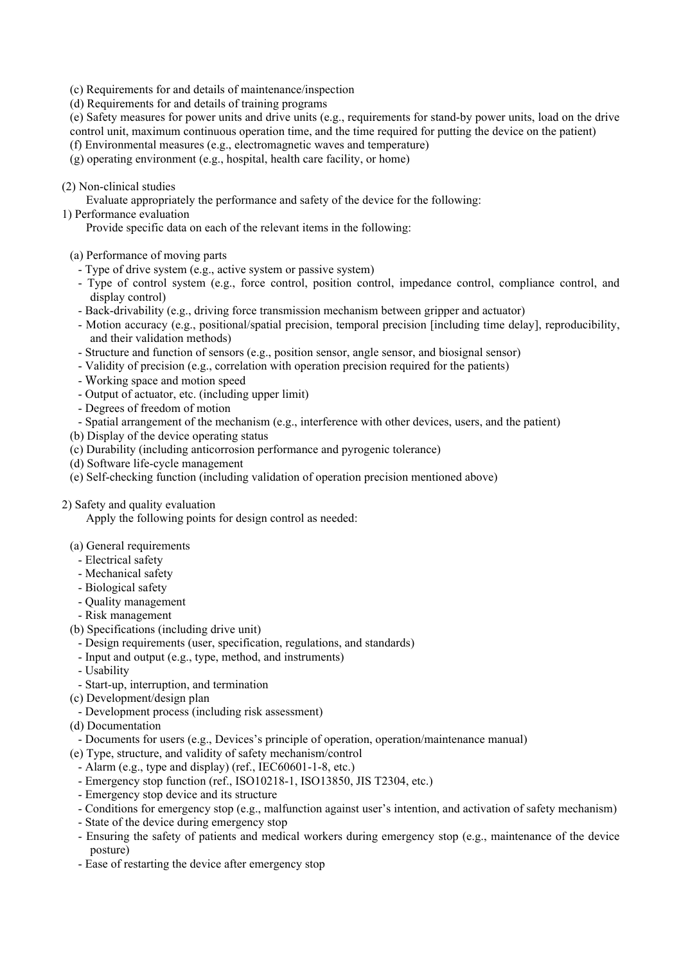- (c) Requirements for and details of maintenance/inspection
- (d) Requirements for and details of training programs
- (e) Safety measures for power units and drive units (e.g., requirements for stand-by power units, load on the drive control unit, maximum continuous operation time, and the time required for putting the device on the patient)
- (f) Environmental measures (e.g., electromagnetic waves and temperature)
- (g) operating environment (e.g., hospital, health care facility, or home)
- (2) Non-clinical studies
	- Evaluate appropriately the performance and safety of the device for the following:
- 1) Performance evaluation

Provide specific data on each of the relevant items in the following:

- (a) Performance of moving parts
	- Type of drive system (e.g., active system or passive system)
	- Type of control system (e.g., force control, position control, impedance control, compliance control, and display control)
	- Back-drivability (e.g., driving force transmission mechanism between gripper and actuator)
	- Motion accuracy (e.g., positional/spatial precision, temporal precision [including time delay], reproducibility, and their validation methods)
	- Structure and function of sensors (e.g., position sensor, angle sensor, and biosignal sensor)
	- Validity of precision (e.g., correlation with operation precision required for the patients)
	- Working space and motion speed
	- Output of actuator, etc. (including upper limit)
	- Degrees of freedom of motion
	- Spatial arrangement of the mechanism (e.g., interference with other devices, users, and the patient)
- (b) Display of the device operating status
- (c) Durability (including anticorrosion performance and pyrogenic tolerance)
- (d) Software life-cycle management
- (e) Self-checking function (including validation of operation precision mentioned above)

## 2) Safety and quality evaluation

Apply the following points for design control as needed:

## (a) General requirements

- Electrical safety
- Mechanical safety
- Biological safety
- Quality management
- Risk management
- (b) Specifications (including drive unit)
	- Design requirements (user, specification, regulations, and standards)
- Input and output (e.g., type, method, and instruments)
- Usability
- Start-up, interruption, and termination
- (c) Development/design plan
- Development process (including risk assessment)
- (d) Documentation
- Documents for users (e.g., Devices's principle of operation, operation/maintenance manual)
- (e) Type, structure, and validity of safety mechanism/control
	- Alarm (e.g., type and display) (ref., IEC60601-1-8, etc.)
	- Emergency stop function (ref., ISO10218-1, ISO13850, JIS T2304, etc.)
	- Emergency stop device and its structure
	- Conditions for emergency stop (e.g., malfunction against user's intention, and activation of safety mechanism)
	- State of the device during emergency stop
	- Ensuring the safety of patients and medical workers during emergency stop (e.g., maintenance of the device posture)
	- Ease of restarting the device after emergency stop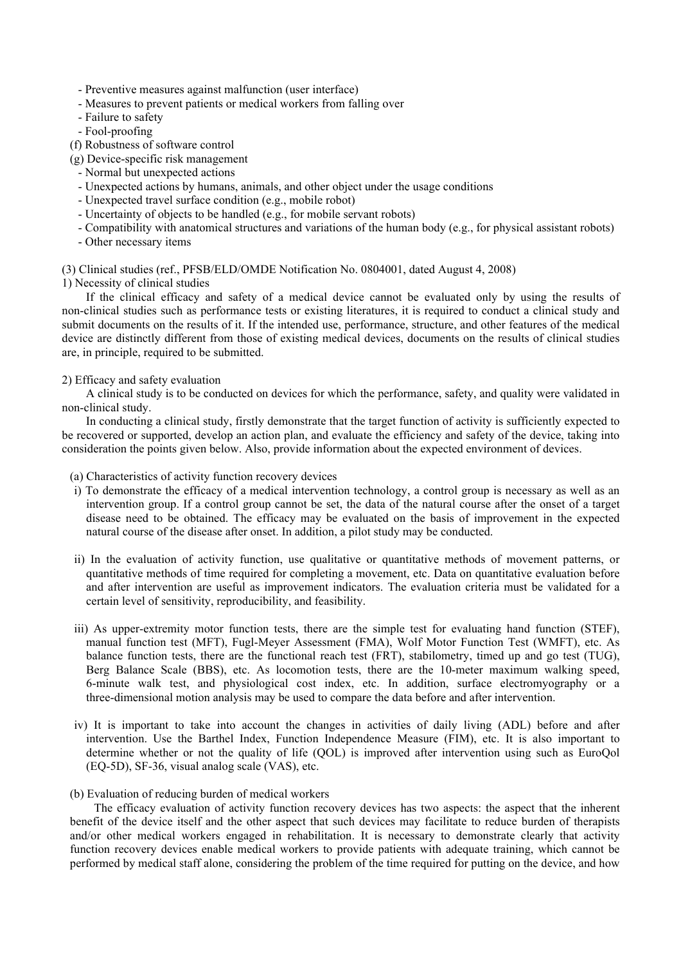- Preventive measures against malfunction (user interface)
- Measures to prevent patients or medical workers from falling over
- Failure to safety
- Fool-proofing
- (f) Robustness of software control

(g) Device-specific risk management

- Normal but unexpected actions
- Unexpected actions by humans, animals, and other object under the usage conditions
- Unexpected travel surface condition (e.g., mobile robot)
- Uncertainty of objects to be handled (e.g., for mobile servant robots)
- Compatibility with anatomical structures and variations of the human body (e.g., for physical assistant robots)
- Other necessary items

(3) Clinical studies (ref., PFSB/ELD/OMDE Notification No. 0804001, dated August 4, 2008)

1) Necessity of clinical studies

If the clinical efficacy and safety of a medical device cannot be evaluated only by using the results of non-clinical studies such as performance tests or existing literatures, it is required to conduct a clinical study and submit documents on the results of it. If the intended use, performance, structure, and other features of the medical device are distinctly different from those of existing medical devices, documents on the results of clinical studies are, in principle, required to be submitted.

## 2) Efficacy and safety evaluation

A clinical study is to be conducted on devices for which the performance, safety, and quality were validated in non-clinical study.

In conducting a clinical study, firstly demonstrate that the target function of activity is sufficiently expected to be recovered or supported, develop an action plan, and evaluate the efficiency and safety of the device, taking into consideration the points given below. Also, provide information about the expected environment of devices.

(a) Characteristics of activity function recovery devices

- i) To demonstrate the efficacy of a medical intervention technology, a control group is necessary as well as an intervention group. If a control group cannot be set, the data of the natural course after the onset of a target disease need to be obtained. The efficacy may be evaluated on the basis of improvement in the expected natural course of the disease after onset. In addition, a pilot study may be conducted.
- ii) In the evaluation of activity function, use qualitative or quantitative methods of movement patterns, or quantitative methods of time required for completing a movement, etc. Data on quantitative evaluation before and after intervention are useful as improvement indicators. The evaluation criteria must be validated for a certain level of sensitivity, reproducibility, and feasibility.
- iii) As upper-extremity motor function tests, there are the simple test for evaluating hand function (STEF), manual function test (MFT), Fugl-Meyer Assessment (FMA), Wolf Motor Function Test (WMFT), etc. As balance function tests, there are the functional reach test (FRT), stabilometry, timed up and go test (TUG), Berg Balance Scale (BBS), etc. As locomotion tests, there are the 10-meter maximum walking speed, 6-minute walk test, and physiological cost index, etc. In addition, surface electromyography or a three-dimensional motion analysis may be used to compare the data before and after intervention.
- iv) It is important to take into account the changes in activities of daily living (ADL) before and after intervention. Use the Barthel Index, Function Independence Measure (FIM), etc. It is also important to determine whether or not the quality of life (QOL) is improved after intervention using such as EuroQol (EQ-5D), SF-36, visual analog scale (VAS), etc.
- (b) Evaluation of reducing burden of medical workers

The efficacy evaluation of activity function recovery devices has two aspects: the aspect that the inherent benefit of the device itself and the other aspect that such devices may facilitate to reduce burden of therapists and/or other medical workers engaged in rehabilitation. It is necessary to demonstrate clearly that activity function recovery devices enable medical workers to provide patients with adequate training, which cannot be performed by medical staff alone, considering the problem of the time required for putting on the device, and how